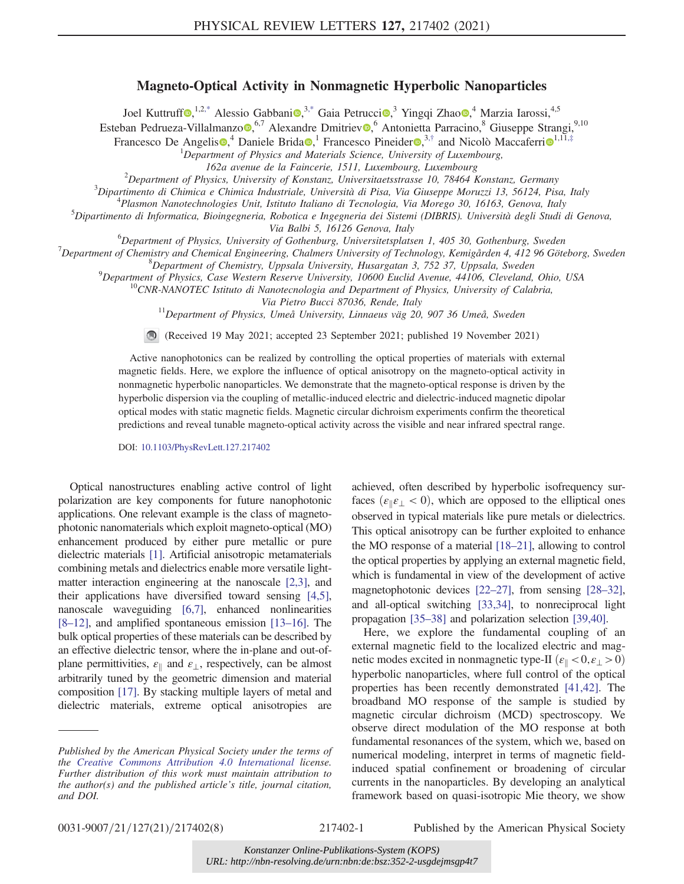## Magneto-Optical Activity in Nonmagnetic Hyperbolic Nanoparticles

Joel Kuttruff<sup>®, 1,[2,\\*](#page-4-0)</sup> Alessio Gabbani®,<sup>3[,\\*](#page-4-0)</sup> Gaia Petrucci<sup>®</sup>,<sup>3</sup> Yingqi Zhao<sup>®</sup>,<sup>4</sup> Marzia Iarossi,<sup>4,5</sup>

<span id="page-0-1"></span><span id="page-0-0"></span>Esteban Pedrueza-Villalmanzo  $\bullet$ ,<sup>6,7</sup> Alexandre Dmitriev  $\bullet$ ,<sup>6</sup> Antonietta Parracino,<sup>8</sup> Giuseppe Strangi,<sup>9,10</sup>

Francesco De Angelis<sup>o,4</sup> Daniele Brida<sup>o</sup>,<sup>1</sup> Francesco Pineider<sup>o,3,[†](#page-4-1)</sup> and Nicolò Maccaferri<sup>o</sup><sup>[1](https://orcid.org/0000-0002-0143-1510),11,[‡](#page-4-2)</sup>

<sup>1</sup>Department of Physics and Materials Science, University of Luxembourg,

162a avenue de la Faincerie, 1511, Luxembourg, Luxembourg <sup>2</sup>

 $^{2}$ Department of Physics, University of Konstanz, Universitaetsstrasse 10, 78464 Konstanz, Germany

 ${}^{3}$ Dipartimento di Chimica e Chimica Industriale, Università di Pisa, Via Giuseppe Moruzzi 13, 56124, Pisa, Italy

<sup>4</sup>Plasmon Nanotechnologies Unit, Istituto Italiano di Tecnologia, Via Morego 30, 16163, Genova, Italy

Dipartimento di Informatica, Bioingegneria, Robotica e Ingegneria dei Sistemi (DIBRIS). Università degli Studi di Genova,

Via Balbi 5, 16126 Genova, Italy<br><sup>6</sup>Denartment of Physics, University of Cothenburg, Universitate late  ${}^{\circ}$ Department of Physics, University of Gothenburg, Universitetsplatsen 1, 405 30, Gothenburg, Sweden  ${}^7$  Department of Chamistin and Chamisel Frainaging Chalmans University of Technology, Kamis and A12.06 Göt

 $^7$ Department of Chemistry and Chemical Engineering, Chalmers University of Technology, Kemigården 4, 412 96 Göteborg, Sweden

<sup>8</sup>Department of Chemistry, Uppsala University, Husargatan 3, 752 37, Uppsala, Sweden <sup>9</sup>Department of Physics, Case Western Reserve University, 10600 Euclid Avenue, 44106, Cleveland, Ohio, USA

 $^{10}$ CNR-NANOTEC Istituto di Nanotecnologia and Department of Physics, University of Calabria,

Via Pietro Bucci 87036, Rende, Italy<br><sup>11</sup>Department of Physics, Umeå University, Linnaeus väg 20, 907 36 Umeå, Sweden

(Received 19 May 2021; accepted 23 September 2021; published 19 November 2021)

Active nanophotonics can be realized by controlling the optical properties of materials with external magnetic fields. Here, we explore the influence of optical anisotropy on the magneto-optical activity in nonmagnetic hyperbolic nanoparticles. We demonstrate that the magneto-optical response is driven by the hyperbolic dispersion via the coupling of metallic-induced electric and dielectric-induced magnetic dipolar optical modes with static magnetic fields. Magnetic circular dichroism experiments confirm the theoretical predictions and reveal tunable magneto-optical activity across the visible and near infrared spectral range.

DOI: [10.1103/PhysRevLett.127.217402](https://doi.org/10.1103/PhysRevLett.127.217402)

Optical nanostructures enabling active control of light polarization are key components for future nanophotonic applications. One relevant example is the class of magnetophotonic nanomaterials which exploit magneto-optical (MO) enhancement produced by either pure metallic or pure dielectric materials [\[1](#page-4-3)]. Artificial anisotropic metamaterials combining metals and dielectrics enable more versatile lightmatter interaction engineering at the nanoscale [\[2](#page-5-0),[3\]](#page-5-1), and their applications have diversified toward sensing [\[4](#page-5-2)[,5](#page-5-3)], nanoscale waveguiding [\[6](#page-5-4),[7\]](#page-5-5), enhanced nonlinearities [\[8](#page-5-6)–[12\]](#page-5-7), and amplified spontaneous emission [\[13](#page-5-8)–[16](#page-5-9)]. The bulk optical properties of these materials can be described by an effective dielectric tensor, where the in-plane and out-ofplane permittivities,  $\varepsilon_{\parallel}$  and  $\varepsilon_{\perp}$ , respectively, can be almost arbitrarily tuned by the geometric dimension and material composition [[17](#page-5-10)]. By stacking multiple layers of metal and dielectric materials, extreme optical anisotropies are

achieved, often described by hyperbolic isofrequency surfaces ( $\varepsilon_{\parallel} \varepsilon_{\perp} < 0$ ), which are opposed to the elliptical ones observed in typical materials like pure metals or dielectrics. This optical anisotropy can be further exploited to enhance the MO response of a material [\[18](#page-5-11)–[21](#page-5-12)], allowing to control the optical properties by applying an external magnetic field, which is fundamental in view of the development of active magnetophotonic devices [\[22](#page-5-13)–[27\]](#page-5-14), from sensing [\[28](#page-5-15)–[32](#page-6-0)], and all-optical switching [\[33](#page-6-1)[,34](#page-6-2)], to nonreciprocal light propagation [\[35](#page-6-3)–[38](#page-6-4)] and polarization selection [\[39](#page-6-5)[,40](#page-6-6)].

Here, we explore the fundamental coupling of an external magnetic field to the localized electric and magnetic modes excited in nonmagnetic type-II  $(\varepsilon_{\parallel} < 0, \varepsilon_{\perp} > 0)$ hyperbolic nanoparticles, where full control of the optical properties has been recently demonstrated [[41](#page-6-7)[,42\]](#page-6-8). The broadband MO response of the sample is studied by magnetic circular dichroism (MCD) spectroscopy. We observe direct modulation of the MO response at both fundamental resonances of the system, which we, based on numerical modeling, interpret in terms of magnetic fieldinduced spatial confinement or broadening of circular currents in the nanoparticles. By developing an analytical framework based on quasi-isotropic Mie theory, we show

0031-9007/21/127(21)/217402(8) 217402-1 Published by the American Physical Society

Published by the American Physical Society under the terms of the [Creative Commons Attribution 4.0 International](https://creativecommons.org/licenses/by/4.0/) license. Further distribution of this work must maintain attribution to the author(s) and the published article's title, journal citation, and DOI.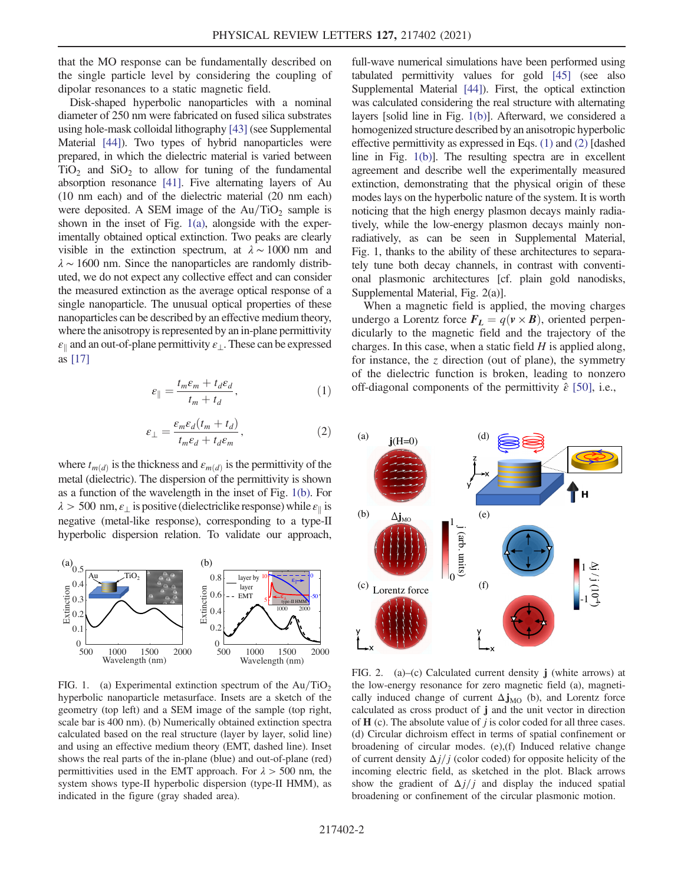that the MO response can be fundamentally described on the single particle level by considering the coupling of dipolar resonances to a static magnetic field.

Disk-shaped hyperbolic nanoparticles with a nominal diameter of 250 nm were fabricated on fused silica substrates using hole-mask colloidal lithography [\[43](#page-6-9)] (see Supplemental Material [\[44](#page-6-10)]). Two types of hybrid nanoparticles were prepared, in which the dielectric material is varied between  $TiO<sub>2</sub>$  and  $SiO<sub>2</sub>$  to allow for tuning of the fundamental absorption resonance [[41\]](#page-6-7). Five alternating layers of Au (10 nm each) and of the dielectric material (20 nm each) were deposited. A SEM image of the  $Au/TiO<sub>2</sub>$  sample is shown in the inset of Fig. [1\(a\)](#page-1-0), alongside with the experimentally obtained optical extinction. Two peaks are clearly visible in the extinction spectrum, at  $\lambda \sim 1000$  nm and  $\lambda \sim 1600$  nm. Since the nanoparticles are randomly distributed, we do not expect any collective effect and can consider the measured extinction as the average optical response of a single nanoparticle. The unusual optical properties of these nanoparticles can be described by an effective medium theory, where the anisotropy is represented by an in-plane permittivity  $\varepsilon_{\parallel}$  and an out-of-plane permittivity  $\varepsilon_{\perp}$ . These can be expressed as [[17\]](#page-5-10)

<span id="page-1-1"></span>
$$
\varepsilon_{\parallel} = \frac{t_m \varepsilon_m + t_d \varepsilon_d}{t_m + t_d},\tag{1}
$$

$$
\varepsilon_{\perp} = \frac{\varepsilon_m \varepsilon_d (t_m + t_d)}{t_m \varepsilon_d + t_d \varepsilon_m},\tag{2}
$$

<span id="page-1-2"></span>where  $t_{m(d)}$  is the thickness and  $\varepsilon_{m(d)}$  is the permittivity of the metal (dielectric). The dispersion of the permittivity is shown as a function of the wavelength in the inset of Fig. [1\(b\).](#page-1-0) For  $\lambda > 500 \text{ nm}, \varepsilon_{\perp}$  is positive (dielectriclike response) while  $\varepsilon_{\parallel}$  is negative (metal-like response), corresponding to a type-II hyperbolic dispersion relation. To validate our approach,

<span id="page-1-0"></span>

FIG. 1. (a) Experimental extinction spectrum of the  $Au/TiO<sub>2</sub>$ hyperbolic nanoparticle metasurface. Insets are a sketch of the geometry (top left) and a SEM image of the sample (top right, scale bar is 400 nm). (b) Numerically obtained extinction spectra calculated based on the real structure (layer by layer, solid line) and using an effective medium theory (EMT, dashed line). Inset shows the real parts of the in-plane (blue) and out-of-plane (red) permittivities used in the EMT approach. For  $\lambda > 500$  nm, the system shows type-II hyperbolic dispersion (type-II HMM), as indicated in the figure (gray shaded area).

full-wave numerical simulations have been performed using tabulated permittivity values for gold [[45\]](#page-6-11) (see also Supplemental Material [\[44\]](#page-6-10)). First, the optical extinction was calculated considering the real structure with alternating layers [solid line in Fig. [1\(b\)\]](#page-1-0). Afterward, we considered a homogenized structure described by an anisotropic hyperbolic effective permittivity as expressed in Eqs. [\(1\)](#page-1-1) and [\(2\)](#page-1-2) [dashed line in Fig. [1\(b\)\]](#page-1-0). The resulting spectra are in excellent agreement and describe well the experimentally measured extinction, demonstrating that the physical origin of these modes lays on the hyperbolic nature of the system. It is worth noticing that the high energy plasmon decays mainly radiatively, while the low-energy plasmon decays mainly nonradiatively, as can be seen in Supplemental Material, Fig. 1, thanks to the ability of these architectures to separately tune both decay channels, in contrast with conventional plasmonic architectures [cf. plain gold nanodisks, Supplemental Material, Fig. 2(a)].

When a magnetic field is applied, the moving charges undergo a Lorentz force  $\mathbf{F}_L = q(\mathbf{v} \times \mathbf{B})$ , oriented perpendicularly to the magnetic field and the trajectory of the charges. In this case, when a static field  $H$  is applied along, for instance, the  $z$  direction (out of plane), the symmetry of the dielectric function is broken, leading to nonzero off-diagonal components of the permittivity  $\hat{\varepsilon}$  [\[50\]](#page-6-12), i.e.,

<span id="page-1-4"></span><span id="page-1-3"></span>

FIG. 2. (a)–(c) Calculated current density  $\mathbf{j}$  (white arrows) at the low-energy resonance for zero magnetic field (a), magnetically induced change of current  $\Delta j_{\text{MO}}$  (b), and Lorentz force calculated as cross product of j and the unit vector in direction of  $H$  (c). The absolute value of  $j$  is color coded for all three cases. (d) Circular dichroism effect in terms of spatial confinement or broadening of circular modes. (e),(f) Induced relative change of current density  $\Delta j / j$  (color coded) for opposite helicity of the incoming electric field, as sketched in the plot. Black arrows show the gradient of  $\Delta j/j$  and display the induced spatial broadening or confinement of the circular plasmonic motion.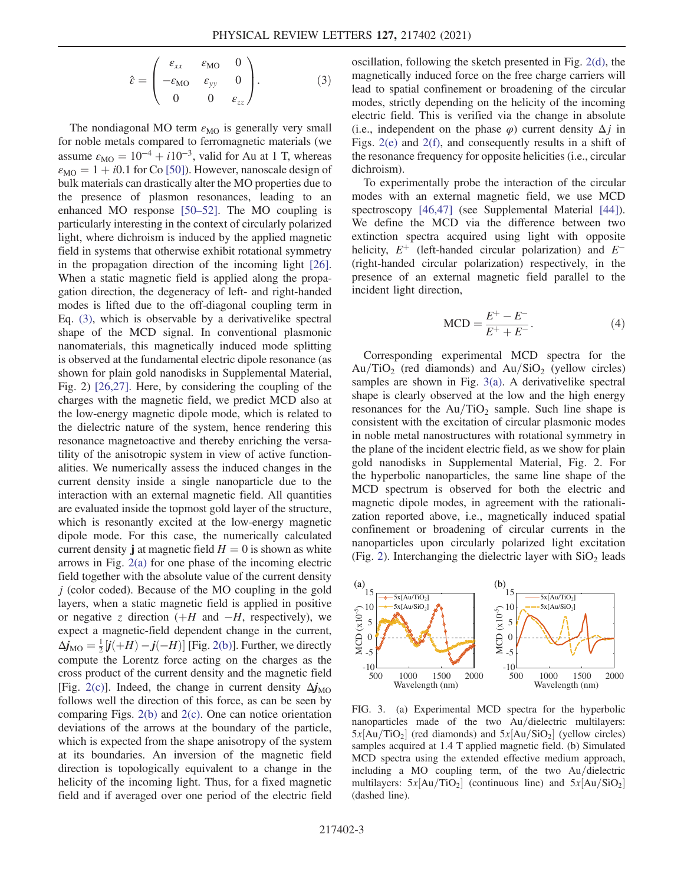$$
\hat{\varepsilon} = \begin{pmatrix} \varepsilon_{xx} & \varepsilon_{\text{MO}} & 0 \\ -\varepsilon_{\text{MO}} & \varepsilon_{yy} & 0 \\ 0 & 0 & \varepsilon_{zz} \end{pmatrix} . \tag{3}
$$

The nondiagonal MO term  $\varepsilon_{\text{MO}}$  is generally very small for noble metals compared to ferromagnetic materials (we assume  $\varepsilon_{\text{MO}} = 10^{-4} + i10^{-3}$ , valid for Au at 1 T, whereas  $\varepsilon_{\text{MO}} = 1 + i0.1$  for Co [[50](#page-6-12)]). However, nanoscale design of bulk materials can drastically alter the MO properties due to the presence of plasmon resonances, leading to an enhanced MO response [\[50](#page-6-12)–[52\]](#page-6-13). The MO coupling is particularly interesting in the context of circularly polarized light, where dichroism is induced by the applied magnetic field in systems that otherwise exhibit rotational symmetry in the propagation direction of the incoming light [[26](#page-5-16)]. When a static magnetic field is applied along the propagation direction, the degeneracy of left- and right-handed modes is lifted due to the off-diagonal coupling term in Eq. [\(3\),](#page-1-3) which is observable by a derivativelike spectral shape of the MCD signal. In conventional plasmonic nanomaterials, this magnetically induced mode splitting is observed at the fundamental electric dipole resonance (as shown for plain gold nanodisks in Supplemental Material, Fig. 2) [\[26](#page-5-16)[,27\]](#page-5-14). Here, by considering the coupling of the charges with the magnetic field, we predict MCD also at the low-energy magnetic dipole mode, which is related to the dielectric nature of the system, hence rendering this resonance magnetoactive and thereby enriching the versatility of the anisotropic system in view of active functionalities. We numerically assess the induced changes in the current density inside a single nanoparticle due to the interaction with an external magnetic field. All quantities are evaluated inside the topmost gold layer of the structure, which is resonantly excited at the low-energy magnetic dipole mode. For this case, the numerically calculated current density **j** at magnetic field  $H = 0$  is shown as white arrows in Fig. [2\(a\)](#page-1-4) for one phase of the incoming electric field together with the absolute value of the current density  $j$  (color coded). Because of the MO coupling in the gold layers, when a static magnetic field is applied in positive or negative z direction  $(H$  and  $-H$ , respectively), we expect a magnetic-field dependent change in the current,  $\Delta \dot{\mathbf{j}}_{\text{MO}} = \frac{1}{2} [\dot{\mathbf{j}}(+H) - \dot{\mathbf{j}}(-H)]$  [Fig. [2\(b\)\]](#page-1-4). Further, we directly compute the Lorentz force acting on the charges as the cross product of the current density and the magnetic field [Fig. [2\(c\)](#page-1-4)]. Indeed, the change in current density  $\Delta j_{\text{MO}}$ follows well the direction of this force, as can be seen by comparing Figs. [2\(b\)](#page-1-4) and [2\(c\)](#page-1-4). One can notice orientation deviations of the arrows at the boundary of the particle, which is expected from the shape anisotropy of the system at its boundaries. An inversion of the magnetic field direction is topologically equivalent to a change in the helicity of the incoming light. Thus, for a fixed magnetic field and if averaged over one period of the electric field oscillation, following the sketch presented in Fig. [2\(d\),](#page-1-4) the magnetically induced force on the free charge carriers will lead to spatial confinement or broadening of the circular modes, strictly depending on the helicity of the incoming electric field. This is verified via the change in absolute (i.e., independent on the phase  $\varphi$ ) current density  $\Delta i$  in Figs. [2\(e\)](#page-1-4) and [2\(f\)](#page-1-4), and consequently results in a shift of the resonance frequency for opposite helicities (i.e., circular dichroism).

To experimentally probe the interaction of the circular modes with an external magnetic field, we use MCD spectroscopy [\[46](#page-6-14)[,47\]](#page-6-15) (see Supplemental Material [\[44\]](#page-6-10)). We define the MCD via the difference between two extinction spectra acquired using light with opposite helicity,  $E^+$  (left-handed circular polarization) and  $E^-$ (right-handed circular polarization) respectively, in the presence of an external magnetic field parallel to the incident light direction,

$$
MCD = \frac{E^+ - E^-}{E^+ + E^-}.
$$
 (4)

<span id="page-2-1"></span>Corresponding experimental MCD spectra for the  $Au/TiO<sub>2</sub>$  (red diamonds) and  $Au/SiO<sub>2</sub>$  (yellow circles) samples are shown in Fig. [3\(a\).](#page-2-0) A derivativelike spectral shape is clearly observed at the low and the high energy resonances for the  $Au/TiO<sub>2</sub>$  sample. Such line shape is consistent with the excitation of circular plasmonic modes in noble metal nanostructures with rotational symmetry in the plane of the incident electric field, as we show for plain gold nanodisks in Supplemental Material, Fig. 2. For the hyperbolic nanoparticles, the same line shape of the MCD spectrum is observed for both the electric and magnetic dipole modes, in agreement with the rationalization reported above, i.e., magnetically induced spatial confinement or broadening of circular currents in the nanoparticles upon circularly polarized light excitation (Fig. [2](#page-1-4)). Interchanging the dielectric layer with  $SiO<sub>2</sub>$  leads

<span id="page-2-0"></span>

FIG. 3. (a) Experimental MCD spectra for the hyperbolic nanoparticles made of the two Au/dielectric multilayers:  $5x[Au/TiO_2]$  (red diamonds) and  $5x[Au/SiO_2]$  (yellow circles) samples acquired at 1.4 T applied magnetic field. (b) Simulated MCD spectra using the extended effective medium approach, including a MO coupling term, of the two  $Au/di$ electric multilayers:  $5x[Au/TiO_2]$  (continuous line) and  $5x[Au/SiO_2]$ (dashed line).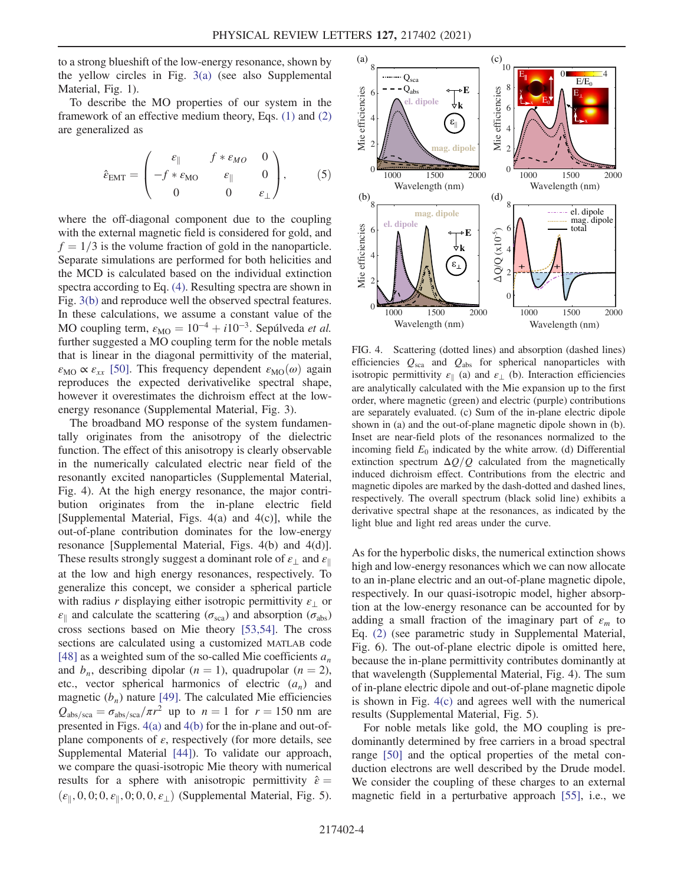to a strong blueshift of the low-energy resonance, shown by the yellow circles in Fig. [3\(a\)](#page-2-0) (see also Supplemental Material, Fig. 1).

To describe the MO properties of our system in the framework of an effective medium theory, Eqs. [\(1\)](#page-1-1) and [\(2\)](#page-1-2) are generalized as

$$
\hat{\varepsilon}_{\text{EMT}} = \begin{pmatrix} \varepsilon_{\parallel} & f * \varepsilon_{MO} & 0 \\ -f * \varepsilon_{MO} & \varepsilon_{\parallel} & 0 \\ 0 & 0 & \varepsilon_{\perp} \end{pmatrix}, \qquad (5)
$$

where the off-diagonal component due to the coupling with the external magnetic field is considered for gold, and  $f = 1/3$  is the volume fraction of gold in the nanoparticle. Separate simulations are performed for both helicities and the MCD is calculated based on the individual extinction spectra according to Eq. [\(4\).](#page-2-1) Resulting spectra are shown in Fig. [3\(b\)](#page-2-0) and reproduce well the observed spectral features. In these calculations, we assume a constant value of the MO coupling term,  $\varepsilon_{\text{MO}} = 10^{-4} + i10^{-3}$ . Sepúlveda *et al.* further suggested a MO coupling term for the noble metals that is linear in the diagonal permittivity of the material,  $\varepsilon_{\text{MO}} \propto \varepsilon_{xx}$  [[50](#page-6-12)]. This frequency dependent  $\varepsilon_{\text{MO}}(\omega)$  again reproduces the expected derivativelike spectral shape, however it overestimates the dichroism effect at the lowenergy resonance (Supplemental Material, Fig. 3).

The broadband MO response of the system fundamentally originates from the anisotropy of the dielectric function. The effect of this anisotropy is clearly observable in the numerically calculated electric near field of the resonantly excited nanoparticles (Supplemental Material, Fig. 4). At the high energy resonance, the major contribution originates from the in-plane electric field [Supplemental Material, Figs. 4(a) and 4(c)], while the out-of-plane contribution dominates for the low-energy resonance [Supplemental Material, Figs. 4(b) and 4(d)]. These results strongly suggest a dominant role of  $\varepsilon_{\perp}$  and  $\varepsilon_{\parallel}$ at the low and high energy resonances, respectively. To generalize this concept, we consider a spherical particle with radius r displaying either isotropic permittivity  $\varepsilon_{\perp}$  or  $\varepsilon_{\parallel}$  and calculate the scattering ( $\sigma_{\rm sca}$ ) and absorption ( $\sigma_{\rm abs}$ ) cross sections based on Mie theory [\[53](#page-6-16)[,54\]](#page-6-17). The cross sections are calculated using a customized MATLAB code [\[48\]](#page-6-18) as a weighted sum of the so-called Mie coefficients  $a_n$ and  $b_n$ , describing dipolar  $(n = 1)$ , quadrupolar  $(n = 2)$ , etc., vector spherical harmonics of electric  $(a_n)$  and magnetic  $(b_n)$  nature [[49](#page-6-19)]. The calculated Mie efficiencies  $Q_{\rm abs/sec} = \sigma_{\rm abs/sec}/\pi r^2$  up to  $n = 1$  for  $r = 150$  nm are presented in Figs. [4\(a\)](#page-3-0) and [4\(b\)](#page-3-0) for the in-plane and out-ofplane components of  $\varepsilon$ , respectively (for more details, see Supplemental Material [\[44\]](#page-6-10)). To validate our approach, we compare the quasi-isotropic Mie theory with numerical results for a sphere with anisotropic permittivity  $\hat{\varepsilon} =$  $(\varepsilon_{\parallel}, 0, 0; 0, \varepsilon_{\parallel}, 0; 0, 0, \varepsilon_{\perp})$  (Supplemental Material, Fig. 5).

<span id="page-3-0"></span>

FIG. 4. Scattering (dotted lines) and absorption (dashed lines) efficiencies  $Q_{\rm sca}$  and  $Q_{\rm abs}$  for spherical nanoparticles with isotropic permittivity  $\varepsilon_{\parallel}$  (a) and  $\varepsilon_{\perp}$  (b). Interaction efficiencies are analytically calculated with the Mie expansion up to the first order, where magnetic (green) and electric (purple) contributions are separately evaluated. (c) Sum of the in-plane electric dipole shown in (a) and the out-of-plane magnetic dipole shown in (b). Inset are near-field plots of the resonances normalized to the incoming field  $E_0$  indicated by the white arrow. (d) Differential extinction spectrum  $\Delta Q/Q$  calculated from the magnetically induced dichroism effect. Contributions from the electric and magnetic dipoles are marked by the dash-dotted and dashed lines, respectively. The overall spectrum (black solid line) exhibits a derivative spectral shape at the resonances, as indicated by the light blue and light red areas under the curve.

As for the hyperbolic disks, the numerical extinction shows high and low-energy resonances which we can now allocate to an in-plane electric and an out-of-plane magnetic dipole, respectively. In our quasi-isotropic model, higher absorption at the low-energy resonance can be accounted for by adding a small fraction of the imaginary part of  $\varepsilon_m$  to Eq. [\(2\)](#page-1-2) (see parametric study in Supplemental Material, Fig. 6). The out-of-plane electric dipole is omitted here, because the in-plane permittivity contributes dominantly at that wavelength (Supplemental Material, Fig. 4). The sum of in-plane electric dipole and out-of-plane magnetic dipole is shown in Fig. [4\(c\)](#page-3-0) and agrees well with the numerical results (Supplemental Material, Fig. 5).

For noble metals like gold, the MO coupling is predominantly determined by free carriers in a broad spectral range [\[50\]](#page-6-12) and the optical properties of the metal conduction electrons are well described by the Drude model. We consider the coupling of these charges to an external magnetic field in a perturbative approach [\[55](#page-6-20)], i.e., we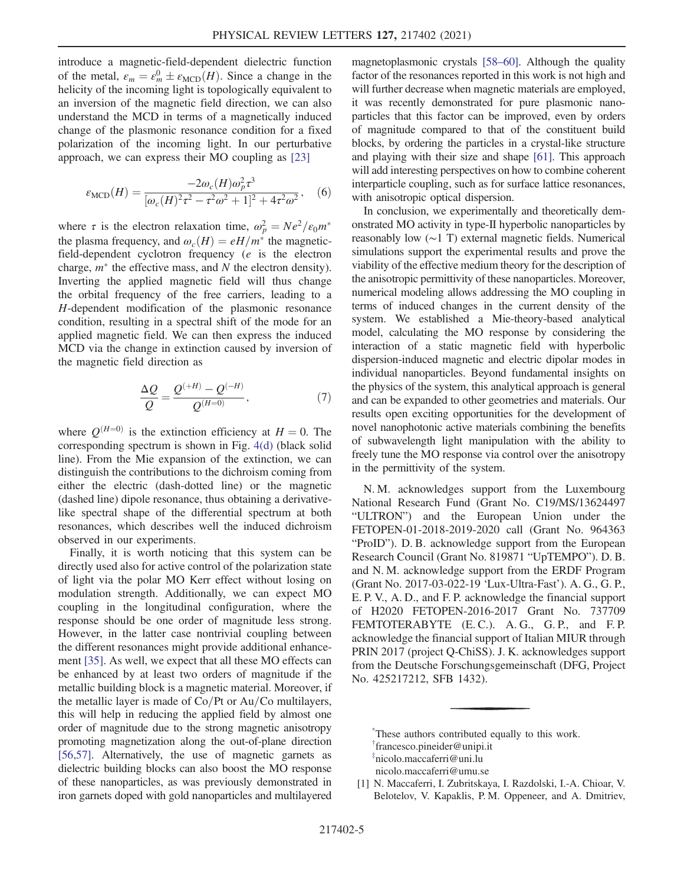introduce a magnetic-field-dependent dielectric function of the metal,  $\varepsilon_m = \varepsilon_m^0 \pm \varepsilon_{\text{MCD}}(H)$ . Since a change in the helicity of the incoming light is topologically equivalent to an inversion of the magnetic field direction, we can also understand the MCD in terms of a magnetically induced change of the plasmonic resonance condition for a fixed polarization of the incoming light. In our perturbative approach, we can express their MO coupling as [[23](#page-5-17)]

$$
\varepsilon_{\rm MCD}(H) = \frac{-2\omega_c(H)\omega_p^2 \tau^3}{[\omega_c(H)^2 \tau^2 - \tau^2 \omega^2 + 1]^2 + 4\tau^2 \omega^2}, \quad (6)
$$

where  $\tau$  is the electron relaxation time,  $\omega_p^2 = Ne^2/\epsilon_0 m^*$ the plasma frequency, and  $\omega_c(H) = eH/m^*$  the magneticfield-dependent cyclotron frequency (e is the electron charge,  $m^*$  the effective mass, and N the electron density). Inverting the applied magnetic field will thus change the orbital frequency of the free carriers, leading to a H-dependent modification of the plasmonic resonance condition, resulting in a spectral shift of the mode for an applied magnetic field. We can then express the induced MCD via the change in extinction caused by inversion of the magnetic field direction as

$$
\frac{\Delta Q}{Q} = \frac{Q^{(+H)} - Q^{(-H)}}{Q^{(H=0)}},\tag{7}
$$

where  $Q^{(H=0)}$  is the extinction efficiency at  $H = 0$ . The corresponding spectrum is shown in Fig. [4\(d\)](#page-3-0) (black solid line). From the Mie expansion of the extinction, we can distinguish the contributions to the dichroism coming from either the electric (dash-dotted line) or the magnetic (dashed line) dipole resonance, thus obtaining a derivativelike spectral shape of the differential spectrum at both resonances, which describes well the induced dichroism observed in our experiments.

Finally, it is worth noticing that this system can be directly used also for active control of the polarization state of light via the polar MO Kerr effect without losing on modulation strength. Additionally, we can expect MO coupling in the longitudinal configuration, where the response should be one order of magnitude less strong. However, in the latter case nontrivial coupling between the different resonances might provide additional enhancement [[35](#page-6-3)]. As well, we expect that all these MO effects can be enhanced by at least two orders of magnitude if the metallic building block is a magnetic material. Moreover, if the metallic layer is made of  $Co/Pt$  or Au/Co multilayers, this will help in reducing the applied field by almost one order of magnitude due to the strong magnetic anisotropy promoting magnetization along the out-of-plane direction [\[56,](#page-6-21)[57](#page-6-22)]. Alternatively, the use of magnetic garnets as dielectric building blocks can also boost the MO response of these nanoparticles, as was previously demonstrated in iron garnets doped with gold nanoparticles and multilayered magnetoplasmonic crystals [\[58](#page-6-23)–[60\]](#page-7-0). Although the quality factor of the resonances reported in this work is not high and will further decrease when magnetic materials are employed, it was recently demonstrated for pure plasmonic nanoparticles that this factor can be improved, even by orders of magnitude compared to that of the constituent build blocks, by ordering the particles in a crystal-like structure and playing with their size and shape [[61](#page-7-1)]. This approach will add interesting perspectives on how to combine coherent interparticle coupling, such as for surface lattice resonances, with anisotropic optical dispersion.

In conclusion, we experimentally and theoretically demonstrated MO activity in type-II hyperbolic nanoparticles by reasonably low (∼1 T) external magnetic fields. Numerical simulations support the experimental results and prove the viability of the effective medium theory for the description of the anisotropic permittivity of these nanoparticles. Moreover, numerical modeling allows addressing the MO coupling in terms of induced changes in the current density of the system. We established a Mie-theory-based analytical model, calculating the MO response by considering the interaction of a static magnetic field with hyperbolic dispersion-induced magnetic and electric dipolar modes in individual nanoparticles. Beyond fundamental insights on the physics of the system, this analytical approach is general and can be expanded to other geometries and materials. Our results open exciting opportunities for the development of novel nanophotonic active materials combining the benefits of subwavelength light manipulation with the ability to freely tune the MO response via control over the anisotropy in the permittivity of the system.

N. M. acknowledges support from the Luxembourg National Research Fund (Grant No. C19/MS/13624497 "ULTRON") and the European Union under the FETOPEN-01-2018-2019-2020 call (Grant No. 964363 "ProID"). D. B. acknowledge support from the European Research Council (Grant No. 819871 "UpTEMPO"). D. B. and N. M. acknowledge support from the ERDF Program (Grant No. 2017-03-022-19 'Lux-Ultra-Fast'). A. G., G. P., E. P. V., A. D., and F. P. acknowledge the financial support of H2020 FETOPEN-2016-2017 Grant No. 737709 FEMTOTERABYTE (E.C.). A.G., G.P., and F.P. acknowledge the financial support of Italian MIUR through PRIN 2017 (project Q-ChiSS). J. K. acknowledges support from the Deutsche Forschungsgemeinschaft (DFG, Project No. 425217212, SFB 1432).

<span id="page-4-2"></span><span id="page-4-1"></span><span id="page-4-0"></span>[\\*](#page-0-0) These authors contributed equally to this work. [†](#page-0-1) francesco.pineider@unipi.it [‡](#page-0-1) nicolo.maccaferri@uni.lu nicolo.maccaferri@umu.se

<span id="page-4-3"></span>[1] N. Maccaferri, I. Zubritskaya, I. Razdolski, I.-A. Chioar, V. Belotelov, V. Kapaklis, P. M. Oppeneer, and A. Dmitriev,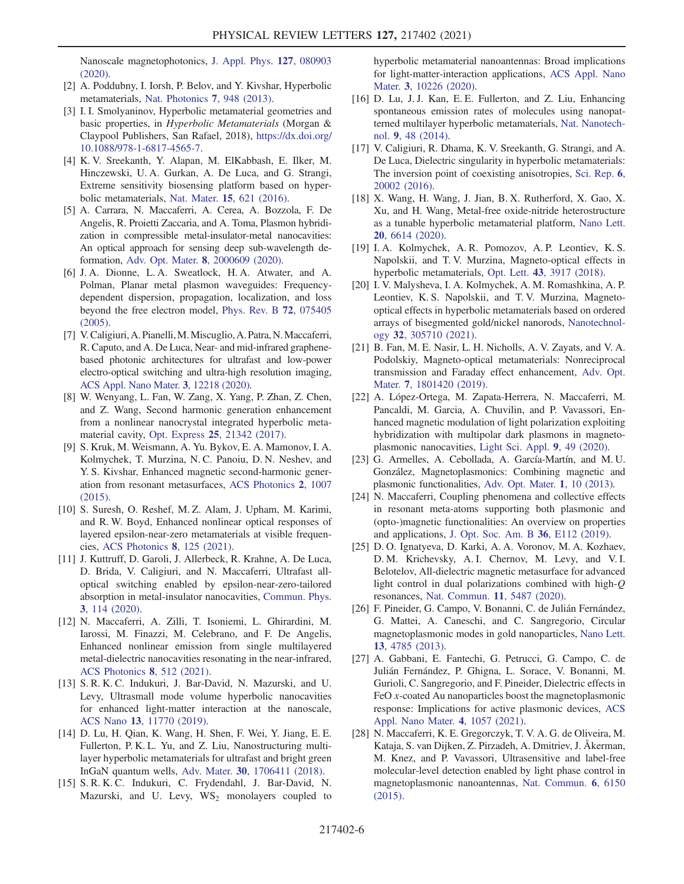Nanoscale magnetophotonics, [J. Appl. Phys.](https://doi.org/10.1063/1.5100826) 127, 080903 [\(2020\).](https://doi.org/10.1063/1.5100826)

- <span id="page-5-0"></span>[2] A. Poddubny, I. Iorsh, P. Belov, and Y. Kivshar, Hyperbolic metamaterials, [Nat. Photonics](https://doi.org/10.1038/nphoton.2013.243) 7, 948 (2013).
- <span id="page-5-1"></span>[3] I. I. Smolyaninov, Hyperbolic metamaterial geometries and basic properties, in Hyperbolic Metamaterials (Morgan & Claypool Publishers, San Rafael, 2018), [https://dx.doi.org/](https://dx.doi.org/10.1088/978-1-6817-4565-7) [10.1088/978-1-6817-4565-7](https://dx.doi.org/10.1088/978-1-6817-4565-7).
- <span id="page-5-2"></span>[4] K. V. Sreekanth, Y. Alapan, M. ElKabbash, E. Ilker, M. Hinczewski, U. A. Gurkan, A. De Luca, and G. Strangi, Extreme sensitivity biosensing platform based on hyperbolic metamaterials, Nat. Mater. 15[, 621 \(2016\).](https://doi.org/10.1038/nmat4609)
- <span id="page-5-3"></span>[5] A. Carrara, N. Maccaferri, A. Cerea, A. Bozzola, F. De Angelis, R. Proietti Zaccaria, and A. Toma, Plasmon hybridization in compressible metal-insulator-metal nanocavities: An optical approach for sensing deep sub-wavelength deformation, Adv. Opt. Mater. 8[, 2000609 \(2020\).](https://doi.org/10.1002/adom.202000609)
- <span id="page-5-4"></span>[6] J. A. Dionne, L. A. Sweatlock, H. A. Atwater, and A. Polman, Planar metal plasmon waveguides: Frequencydependent dispersion, propagation, localization, and loss beyond the free electron model, [Phys. Rev. B](https://doi.org/10.1103/PhysRevB.72.075405) 72, 075405 [\(2005\).](https://doi.org/10.1103/PhysRevB.72.075405)
- <span id="page-5-5"></span>[7] V.Caligiuri,A. Pianelli,M.Miscuglio, A. Patra,N.Maccaferri, R. Caputo, and A. De Luca, Near- and mid-infrared graphenebased photonic architectures for ultrafast and low-power electro-optical switching and ultra-high resolution imaging, [ACS Appl. Nano Mater.](https://doi.org/10.1021/acsanm.0c02690) 3, 12218 (2020).
- <span id="page-5-6"></span>[8] W. Wenyang, L. Fan, W. Zang, X. Yang, P. Zhan, Z. Chen, and Z. Wang, Second harmonic generation enhancement from a nonlinear nanocrystal integrated hyperbolic metamaterial cavity, Opt. Express 25[, 21342 \(2017\)](https://doi.org/10.1364/OE.25.021342).
- [9] S. Kruk, M. Weismann, A. Yu. Bykov, E. A. Mamonov, I. A. Kolmychek, T. Murzina, N. C. Panoiu, D. N. Neshev, and Y. S. Kivshar, Enhanced magnetic second-harmonic generation from resonant metasurfaces, [ACS Photonics](https://doi.org/10.1021/acsphotonics.5b00215) 2, 1007 [\(2015\).](https://doi.org/10.1021/acsphotonics.5b00215)
- [10] S. Suresh, O. Reshef, M. Z. Alam, J. Upham, M. Karimi, and R. W. Boyd, Enhanced nonlinear optical responses of layered epsilon-near-zero metamaterials at visible frequencies, [ACS Photonics](https://doi.org/10.1021/acsphotonics.0c01178) 8, 125 (2021).
- [11] J. Kuttruff, D. Garoli, J. Allerbeck, R. Krahne, A. De Luca, D. Brida, V. Caligiuri, and N. Maccaferri, Ultrafast alloptical switching enabled by epsilon-near-zero-tailored absorption in metal-insulator nanocavities, [Commun. Phys.](https://doi.org/10.1038/s42005-020-0379-2) 3[, 114 \(2020\).](https://doi.org/10.1038/s42005-020-0379-2)
- <span id="page-5-7"></span>[12] N. Maccaferri, A. Zilli, T. Isoniemi, L. Ghirardini, M. Iarossi, M. Finazzi, M. Celebrano, and F. De Angelis, Enhanced nonlinear emission from single multilayered metal-dielectric nanocavities resonating in the near-infrared, [ACS Photonics](https://doi.org/10.1021/acsphotonics.0c01500) 8, 512 (2021).
- <span id="page-5-8"></span>[13] S. R. K. C. Indukuri, J. Bar-David, N. Mazurski, and U. Levy, Ultrasmall mode volume hyperbolic nanocavities for enhanced light-matter interaction at the nanoscale, ACS Nano 13[, 11770 \(2019\)](https://doi.org/10.1021/acsnano.9b05730).
- [14] D. Lu, H. Qian, K. Wang, H. Shen, F. Wei, Y. Jiang, E. E. Fullerton, P. K. L. Yu, and Z. Liu, Nanostructuring multilayer hyperbolic metamaterials for ultrafast and bright green InGaN quantum wells, Adv. Mater. 30[, 1706411 \(2018\).](https://doi.org/10.1002/adma.201706411)
- [15] S. R. K. C. Indukuri, C. Frydendahl, J. Bar-David, N. Mazurski, and U. Levy,  $WS_2$  monolayers coupled to

hyperbolic metamaterial nanoantennas: Broad implications for light-matter-interaction applications, [ACS Appl. Nano](https://doi.org/10.1021/acsanm.0c02186) Mater. 3[, 10226 \(2020\)](https://doi.org/10.1021/acsanm.0c02186).

- <span id="page-5-9"></span>[16] D. Lu, J. J. Kan, E. E. Fullerton, and Z. Liu, Enhancing spontaneous emission rates of molecules using nanopatterned multilayer hyperbolic metamaterials, [Nat. Nanotech](https://doi.org/10.1038/nnano.2013.276)nol. 9[, 48 \(2014\).](https://doi.org/10.1038/nnano.2013.276)
- <span id="page-5-10"></span>[17] V. Caligiuri, R. Dhama, K. V. Sreekanth, G. Strangi, and A. De Luca, Dielectric singularity in hyperbolic metamaterials: The inversion point of coexisting anisotropies, [Sci. Rep.](https://doi.org/10.1038/srep20002) 6, [20002 \(2016\).](https://doi.org/10.1038/srep20002)
- <span id="page-5-11"></span>[18] X. Wang, H. Wang, J. Jian, B. X. Rutherford, X. Gao, X. Xu, and H. Wang, Metal-free oxide-nitride heterostructure as a tunable hyperbolic metamaterial platform, [Nano Lett.](https://doi.org/10.1021/acs.nanolett.0c02440) 20[, 6614 \(2020\)](https://doi.org/10.1021/acs.nanolett.0c02440). [19] I. A. Kolmychek, A. R. Pomozov, A. P. Leontiev, K. S.
- Napolskii, and T. V. Murzina, Magneto-optical effects in hyperbolic metamaterials, Opt. Lett. 43[, 3917 \(2018\)](https://doi.org/10.1364/OL.43.003917).
- [20] I. V. Malysheva, I. A. Kolmychek, A. M. Romashkina, A. P. Leontiev, K. S. Napolskii, and T. V. Murzina, Magnetooptical effects in hyperbolic metamaterials based on ordered arrays of bisegmented gold/nickel nanorods, [Nanotechnol](https://doi.org/10.1088/1361-6528/abf691)ogy 32[, 305710 \(2021\).](https://doi.org/10.1088/1361-6528/abf691)
- <span id="page-5-12"></span>[21] B. Fan, M. E. Nasir, L. H. Nicholls, A. V. Zayats, and V. A. Podolskiy, Magneto-optical metamaterials: Nonreciprocal transmission and Faraday effect enhancement, [Adv. Opt.](https://doi.org/10.1002/adom.201801420) Mater. 7[, 1801420 \(2019\).](https://doi.org/10.1002/adom.201801420)
- <span id="page-5-13"></span>[22] A. López-Ortega, M. Zapata-Herrera, N. Maccaferri, M. Pancaldi, M. Garcia, A. Chuvilin, and P. Vavassori, Enhanced magnetic modulation of light polarization exploiting hybridization with multipolar dark plasmons in magnetoplasmonic nanocavities, [Light Sci. Appl.](https://doi.org/10.1038/s41377-020-0285-0) 9, 49 (2020).
- <span id="page-5-17"></span>[23] G. Armelles, A. Cebollada, A. García-Martín, and M. U. González, Magnetoplasmonics: Combining magnetic and plasmonic functionalities, [Adv. Opt. Mater.](https://doi.org/10.1002/adom.201200011) 1, 10 (2013).
- [24] N. Maccaferri, Coupling phenomena and collective effects in resonant meta-atoms supporting both plasmonic and (opto-)magnetic functionalities: An overview on properties and applications, [J. Opt. Soc. Am. B](https://doi.org/10.1364/JOSAB.36.00E112) 36, E112 (2019).
- [25] D. O. Ignatyeva, D. Karki, A. A. Voronov, M. A. Kozhaev, D. M. Krichevsky, A. I. Chernov, M. Levy, and V. I. Belotelov, All-dielectric magnetic metasurface for advanced light control in dual polarizations combined with high-Q resonances, [Nat. Commun.](https://doi.org/10.1038/s41467-020-19310-x) 11, 5487 (2020).
- <span id="page-5-16"></span>[26] F. Pineider, G. Campo, V. Bonanni, C. de Julián Fernández, G. Mattei, A. Caneschi, and C. Sangregorio, Circular magnetoplasmonic modes in gold nanoparticles, [Nano Lett.](https://doi.org/10.1021/nl402394p) 13[, 4785 \(2013\)](https://doi.org/10.1021/nl402394p).
- <span id="page-5-14"></span>[27] A. Gabbani, E. Fantechi, G. Petrucci, G. Campo, C. de Julián Fernández, P. Ghigna, L. Sorace, V. Bonanni, M. Gurioli, C. Sangregorio, and F. Pineider, Dielectric effects in FeO x-coated Au nanoparticles boost the magnetoplasmonic response: Implications for active plasmonic devices, [ACS](https://doi.org/10.1021/acsanm.0c02588) [Appl. Nano Mater.](https://doi.org/10.1021/acsanm.0c02588) 4, 1057 (2021).
- <span id="page-5-15"></span>[28] N. Maccaferri, K. E. Gregorczyk, T. V. A. G. de Oliveira, M. Kataja, S. van Dijken, Z. Pirzadeh, A. Dmitriev, J. Åkerman, M. Knez, and P. Vavassori, Ultrasensitive and label-free molecular-level detection enabled by light phase control in magnetoplasmonic nanoantennas, [Nat. Commun.](https://doi.org/10.1038/ncomms7150) 6, 6150 [\(2015\).](https://doi.org/10.1038/ncomms7150)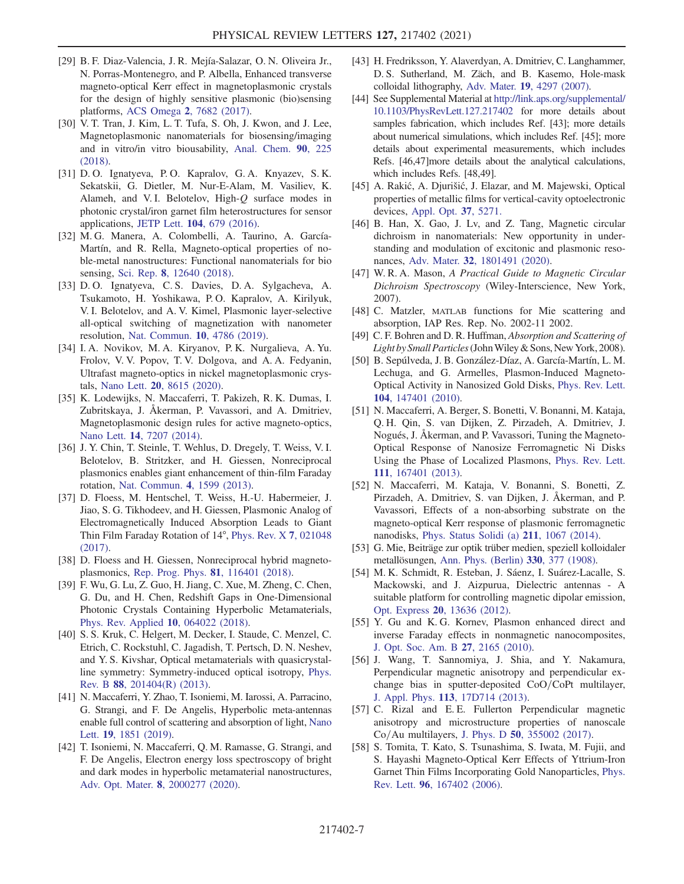- [29] B. F. Diaz-Valencia, J. R. Mejía-Salazar, O. N. Oliveira Jr., N. Porras-Montenegro, and P. Albella, Enhanced transverse magneto-optical Kerr effect in magnetoplasmonic crystals for the design of highly sensitive plasmonic (bio)sensing platforms, ACS Omega 2[, 7682 \(2017\)](https://doi.org/10.1021/acsomega.7b01458).
- [30] V. T. Tran, J. Kim, L. T. Tufa, S. Oh, J. Kwon, and J. Lee, Magnetoplasmonic nanomaterials for biosensing/imaging and in vitro/in vitro biousability, [Anal. Chem.](https://doi.org/10.1021/acs.analchem.7b04255) 90, 225 [\(2018\).](https://doi.org/10.1021/acs.analchem.7b04255)
- [31] D. O. Ignatyeva, P. O. Kapralov, G. A. Knyazev, S. K. Sekatskii, G. Dietler, M. Nur-E-Alam, M. Vasiliev, K. Alameh, and V. I. Belotelov, High- $O$  surface modes in photonic crystal/iron garnet film heterostructures for sensor applications, JETP Lett. 104[, 679 \(2016\)](https://doi.org/10.1134/S0021364016220094).
- <span id="page-6-0"></span>[32] M. G. Manera, A. Colombelli, A. Taurino, A. García-Martín, and R. Rella, Magneto-optical properties of noble-metal nanostructures: Functional nanomaterials for bio sensing, Sci. Rep. 8[, 12640 \(2018\)](https://doi.org/10.1038/s41598-018-30862-3).
- <span id="page-6-1"></span>[33] D. O. Ignatyeva, C. S. Davies, D. A. Sylgacheva, A. Tsukamoto, H. Yoshikawa, P. O. Kapralov, A. Kirilyuk, V. I. Belotelov, and A. V. Kimel, Plasmonic layer-selective all-optical switching of magnetization with nanometer resolution, [Nat. Commun.](https://doi.org/10.1038/s41467-019-12699-0) 10, 4786 (2019).
- <span id="page-6-2"></span>[34] I. A. Novikov, M. A. Kiryanov, P. K. Nurgalieva, A. Yu. Frolov, V. V. Popov, T. V. Dolgova, and A. A. Fedyanin, Ultrafast magneto-optics in nickel magnetoplasmonic crystals, Nano Lett. 20[, 8615 \(2020\).](https://doi.org/10.1021/acs.nanolett.0c03305)
- <span id="page-6-3"></span>[35] K. Lodewijks, N. Maccaferri, T. Pakizeh, R. K. Dumas, I. Zubritskaya, J. Åkerman, P. Vavassori, and A. Dmitriev, Magnetoplasmonic design rules for active magneto-optics, Nano Lett. 14[, 7207 \(2014\)](https://doi.org/10.1021/nl504166n).
- [36] J. Y. Chin, T. Steinle, T. Wehlus, D. Dregely, T. Weiss, V. I. Belotelov, B. Stritzker, and H. Giessen, Nonreciprocal plasmonics enables giant enhancement of thin-film Faraday rotation, [Nat. Commun.](https://doi.org/10.1038/ncomms2609) 4, 1599 (2013).
- [37] D. Floess, M. Hentschel, T. Weiss, H.-U. Habermeier, J. Jiao, S. G. Tikhodeev, and H. Giessen, Plasmonic Analog of Electromagnetically Induced Absorption Leads to Giant Thin Film Faraday Rotation of 14°, [Phys. Rev. X](https://doi.org/10.1103/PhysRevX.7.021048) 7, 021048 [\(2017\).](https://doi.org/10.1103/PhysRevX.7.021048)
- <span id="page-6-4"></span>[38] D. Floess and H. Giessen, Nonreciprocal hybrid magnetoplasmonics, [Rep. Prog. Phys.](https://doi.org/10.1088/1361-6633/aad6a8) 81, 116401 (2018).
- <span id="page-6-5"></span>[39] F. Wu, G. Lu, Z. Guo, H. Jiang, C. Xue, M. Zheng, C. Chen, G. Du, and H. Chen, Redshift Gaps in One-Dimensional Photonic Crystals Containing Hyperbolic Metamaterials, [Phys. Rev. Applied](https://doi.org/10.1103/PhysRevApplied.10.064022) 10, 064022 (2018).
- <span id="page-6-6"></span>[40] S. S. Kruk, C. Helgert, M. Decker, I. Staude, C. Menzel, C. Etrich, C. Rockstuhl, C. Jagadish, T. Pertsch, D. N. Neshev, and Y. S. Kivshar, Optical metamaterials with quasicrystalline symmetry: Symmetry-induced optical isotropy, [Phys.](https://doi.org/10.1103/PhysRevB.88.201404) Rev. B 88[, 201404\(R\) \(2013\)](https://doi.org/10.1103/PhysRevB.88.201404).
- <span id="page-6-7"></span>[41] N. Maccaferri, Y. Zhao, T. Isoniemi, M. Iarossi, A. Parracino, G. Strangi, and F. De Angelis, Hyperbolic meta-antennas enable full control of scattering and absorption of light, [Nano](https://doi.org/10.1021/acs.nanolett.8b04841) Lett. 19[, 1851 \(2019\).](https://doi.org/10.1021/acs.nanolett.8b04841)
- <span id="page-6-8"></span>[42] T. Isoniemi, N. Maccaferri, Q. M. Ramasse, G. Strangi, and F. De Angelis, Electron energy loss spectroscopy of bright and dark modes in hyperbolic metamaterial nanostructures, Adv. Opt. Mater. 8[, 2000277 \(2020\).](https://doi.org/10.1002/adom.202000277)
- <span id="page-6-9"></span>[43] H. Fredriksson, Y. Alaverdyan, A. Dmitriev, C. Langhammer, D. S. Sutherland, M. Zäch, and B. Kasemo, Hole-mask colloidal lithography, Adv. Mater. 19[, 4297 \(2007\)](https://doi.org/10.1002/adma.200700680).
- <span id="page-6-10"></span>[44] See Supplemental Material at [http://link.aps.org/supplemental/](http://link.aps.org/supplemental/10.1103/PhysRevLett.127.217402) [10.1103/PhysRevLett.127.217402](http://link.aps.org/supplemental/10.1103/PhysRevLett.127.217402) for more details about samples fabrication, which includes Ref. [43]; more details about numerical simulations, which includes Ref. [45]; more details about experimental measurements, which includes Refs. [46,47]more details about the analytical calculations, which includes Refs. [48,49].
- <span id="page-6-11"></span>[45] A. Rakić, A. Djurišić, J. Elazar, and M. Majewski, Optical properties of metallic films for vertical-cavity optoelectronic devices, [Appl. Opt.](https://doi.org/10.1364/AO.37.005271) 37, 5271.
- <span id="page-6-14"></span>[46] B. Han, X. Gao, J. Lv, and Z. Tang, Magnetic circular dichroism in nanomaterials: New opportunity in understanding and modulation of excitonic and plasmonic resonances, Adv. Mater. 32[, 1801491 \(2020\)](https://doi.org/10.1002/adma.201801491).
- <span id="page-6-15"></span>[47] W. R. A. Mason, A Practical Guide to Magnetic Circular Dichroism Spectroscopy (Wiley-Interscience, New York, 2007).
- <span id="page-6-18"></span>[48] C. Matzler, MATLAB functions for Mie scattering and absorption, IAP Res. Rep. No. 2002-11 2002.
- <span id="page-6-19"></span>[49] C. F. Bohren and D. R. Huffman, *Absorption and Scattering of* Light by Small Particles (John Wiley & Sons, New York, 2008).
- <span id="page-6-12"></span>[50] B. Sepúlveda, J. B. González-Díaz, A. García-Martín, L. M. Lechuga, and G. Armelles, Plasmon-Induced Magneto-Optical Activity in Nanosized Gold Disks, [Phys. Rev. Lett.](https://doi.org/10.1103/PhysRevLett.104.147401) 104[, 147401 \(2010\).](https://doi.org/10.1103/PhysRevLett.104.147401)
- [51] N. Maccaferri, A. Berger, S. Bonetti, V. Bonanni, M. Kataja, Q. H. Qin, S. van Dijken, Z. Pirzadeh, A. Dmitriev, J. Nogués, J. Åkerman, and P. Vavassori, Tuning the Magneto-Optical Response of Nanosize Ferromagnetic Ni Disks Using the Phase of Localized Plasmons, [Phys. Rev. Lett.](https://doi.org/10.1103/PhysRevLett.111.167401) 111[, 167401 \(2013\).](https://doi.org/10.1103/PhysRevLett.111.167401)
- <span id="page-6-13"></span>[52] N. Maccaferri, M. Kataja, V. Bonanni, S. Bonetti, Z. Pirzadeh, A. Dmitriev, S. van Dijken, J. Åkerman, and P. Vavassori, Effects of a non-absorbing substrate on the magneto-optical Kerr response of plasmonic ferromagnetic nanodisks, [Phys. Status Solidi \(a\)](https://doi.org/10.1002/pssa.201300701) 211, 1067 (2014).
- <span id="page-6-16"></span>[53] G. Mie, Beiträge zur optik trüber medien, speziell kolloidaler metallösungen, [Ann. Phys. \(Berlin\)](https://doi.org/10.1002/andp.19083300302) 330, 377 (1908).
- <span id="page-6-17"></span>[54] M. K. Schmidt, R. Esteban, J. Sáenz, I. Suárez-Lacalle, S. Mackowski, and J. Aizpurua, Dielectric antennas - A suitable platform for controlling magnetic dipolar emission, Opt. Express 20[, 13636 \(2012\)](https://doi.org/10.1364/OE.20.013636).
- <span id="page-6-20"></span>[55] Y. Gu and K. G. Kornev, Plasmon enhanced direct and inverse Faraday effects in nonmagnetic nanocomposites, [J. Opt. Soc. Am. B](https://doi.org/10.1364/JOSAB.27.002165) 27, 2165 (2010).
- <span id="page-6-21"></span>[56] J. Wang, T. Sannomiya, J. Shia, and Y. Nakamura, Perpendicular magnetic anisotropy and perpendicular exchange bias in sputter-deposited  $CoO/CoPt$  multilayer, J. Appl. Phys. 113[, 17D714 \(2013\).](https://doi.org/10.1063/1.4798351)
- <span id="page-6-22"></span>[57] C. Rizal and E.E. Fullerton Perpendicular magnetic anisotropy and microstructure properties of nanoscale  $Co/Au$  multilayers, J. Phys. D 50[, 355002 \(2017\)](https://doi.org/10.1088/1361-6463/aa7c5b).
- <span id="page-6-23"></span>[58] S. Tomita, T. Kato, S. Tsunashima, S. Iwata, M. Fujii, and S. Hayashi Magneto-Optical Kerr Effects of Yttrium-Iron Garnet Thin Films Incorporating Gold Nanoparticles, [Phys.](https://doi.org/10.1103/PhysRevLett.96.167402) Rev. Lett. 96[, 167402 \(2006\).](https://doi.org/10.1103/PhysRevLett.96.167402)